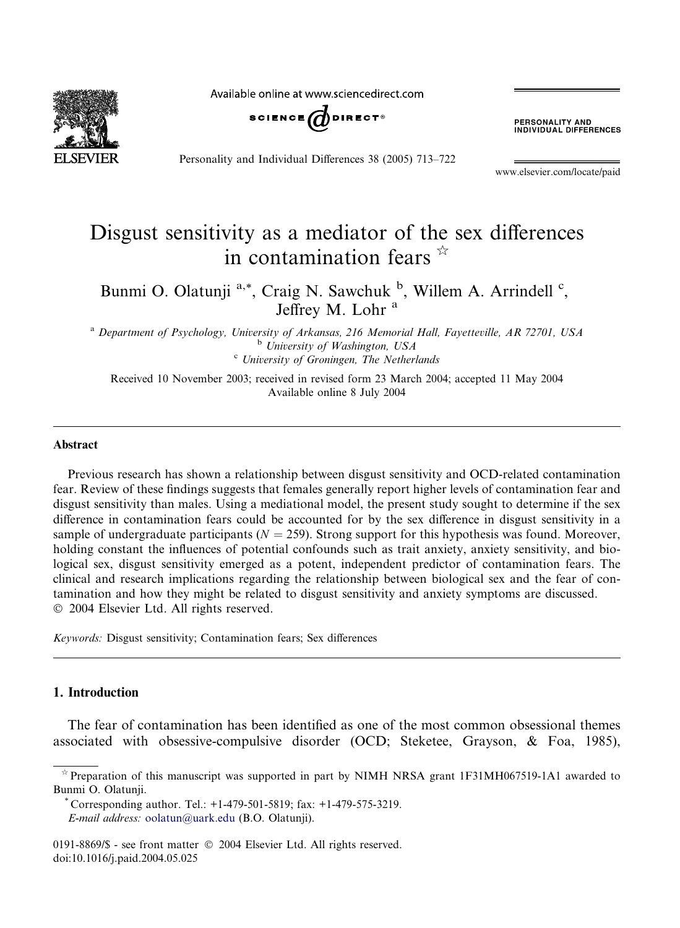

Available online at www.sciencedirect.com



Personality and Individual Differences 38 (2005) 713–722

**PERSONALITY AND<br>INDIVIDUAL DIFFERENCES** 

www.elsevier.com/locate/paid

## Disgust sensitivity as a mediator of the sex differences in contamination fears  $\hat{z}$

Bunmi O. Olatunji <sup>a,\*</sup>, Craig N. Sawchuk <sup>b</sup>, Willem A. Arrindell <sup>c</sup>, Jeffrey M. Lohr<sup>a</sup>

<sup>a</sup> Department of Psychology, University of Arkansas, 216 Memorial Hall, Fayetteville, AR 72701, USA<br><sup>b</sup> University of Washington, USA<br><sup>c</sup> University of Groningen, The Netherlands

Received 10 November 2003; received in revised form 23 March 2004; accepted 11 May 2004 Available online 8 July 2004

## Abstract

Previous research has shown a relationship between disgust sensitivity and OCD-related contamination fear. Review of these findings suggests that females generally report higher levels of contamination fear and disgust sensitivity than males. Using a mediational model, the present study sought to determine if the sex difference in contamination fears could be accounted for by the sex difference in disgust sensitivity in a sample of undergraduate participants ( $N = 259$ ). Strong support for this hypothesis was found. Moreover, holding constant the influences of potential confounds such as trait anxiety, anxiety sensitivity, and biological sex, disgust sensitivity emerged as a potent, independent predictor of contamination fears. The clinical and research implications regarding the relationship between biological sex and the fear of contamination and how they might be related to disgust sensitivity and anxiety symptoms are discussed. 2004 Elsevier Ltd. All rights reserved.

Keywords: Disgust sensitivity; Contamination fears; Sex differences

## 1. Introduction

The fear of contamination has been identified as one of the most common obsessional themes associated with obsessive-compulsive disorder (OCD; Steketee, Grayson, & Foa, 1985),

\* Corresponding author. Tel.:  $+1-479-501-5819$ ; fax:  $+1-479-575-3219$ . E-mail address: [oolatun@uark.edu](mail to: oolatun@uark.edu) (B.O. Olatunji).

Preparation of this manuscript was supported in part by NIMH NRSA grant 1F31MH067519-1A1 awarded to Bunmi O. Olatunji.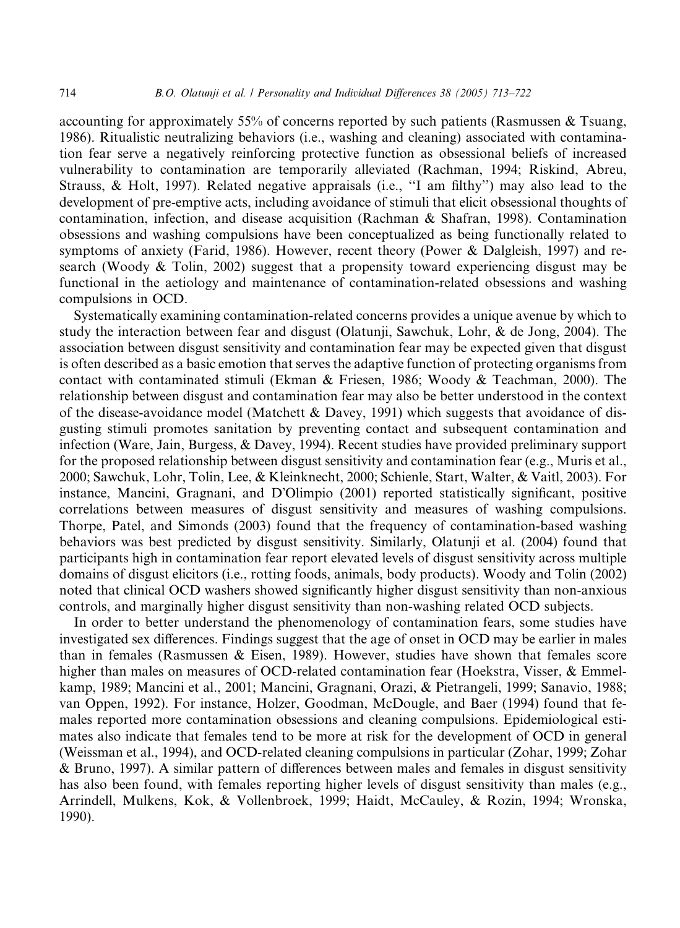accounting for approximately 55% of concerns reported by such patients (Rasmussen & Tsuang, 1986). Ritualistic neutralizing behaviors (i.e., washing and cleaning) associated with contamination fear serve a negatively reinforcing protective function as obsessional beliefs of increased vulnerability to contamination are temporarily alleviated (Rachman, 1994; Riskind, Abreu, Strauss, & Holt, 1997). Related negative appraisals (i.e., ''I am filthy'') may also lead to the development of pre-emptive acts, including avoidance of stimuli that elicit obsessional thoughts of contamination, infection, and disease acquisition (Rachman & Shafran, 1998). Contamination obsessions and washing compulsions have been conceptualized as being functionally related to symptoms of anxiety (Farid, 1986). However, recent theory (Power & Dalgleish, 1997) and research (Woody  $\&$  Tolin, 2002) suggest that a propensity toward experiencing disgust may be functional in the aetiology and maintenance of contamination-related obsessions and washing compulsions in OCD.

Systematically examining contamination-related concerns provides a unique avenue by which to study the interaction between fear and disgust (Olatunji, Sawchuk, Lohr, & de Jong, 2004). The association between disgust sensitivity and contamination fear may be expected given that disgust is often described as a basic emotion that serves the adaptive function of protecting organisms from contact with contaminated stimuli (Ekman & Friesen, 1986; Woody & Teachman, 2000). The relationship between disgust and contamination fear may also be better understood in the context of the disease-avoidance model (Matchett & Davey, 1991) which suggests that avoidance of disgusting stimuli promotes sanitation by preventing contact and subsequent contamination and infection (Ware, Jain, Burgess, & Davey, 1994). Recent studies have provided preliminary support for the proposed relationship between disgust sensitivity and contamination fear (e.g., Muris et al., 2000; Sawchuk, Lohr, Tolin, Lee, & Kleinknecht, 2000; Schienle, Start, Walter, & Vaitl, 2003). For instance, Mancini, Gragnani, and D'Olimpio (2001) reported statistically significant, positive correlations between measures of disgust sensitivity and measures of washing compulsions. Thorpe, Patel, and Simonds (2003) found that the frequency of contamination-based washing behaviors was best predicted by disgust sensitivity. Similarly, Olatunji et al. (2004) found that participants high in contamination fear report elevated levels of disgust sensitivity across multiple domains of disgust elicitors (i.e., rotting foods, animals, body products). Woody and Tolin (2002) noted that clinical OCD washers showed significantly higher disgust sensitivity than non-anxious controls, and marginally higher disgust sensitivity than non-washing related OCD subjects.

In order to better understand the phenomenology of contamination fears, some studies have investigated sex differences. Findings suggest that the age of onset in OCD may be earlier in males than in females (Rasmussen  $& Eisen, 1989$ ). However, studies have shown that females score higher than males on measures of OCD-related contamination fear (Hoekstra, Visser, & Emmelkamp, 1989; Mancini et al., 2001; Mancini, Gragnani, Orazi, & Pietrangeli, 1999; Sanavio, 1988; van Oppen, 1992). For instance, Holzer, Goodman, McDougle, and Baer (1994) found that females reported more contamination obsessions and cleaning compulsions. Epidemiological estimates also indicate that females tend to be more at risk for the development of OCD in general (Weissman et al., 1994), and OCD-related cleaning compulsions in particular (Zohar, 1999; Zohar & Bruno, 1997). A similar pattern of differences between males and females in disgust sensitivity has also been found, with females reporting higher levels of disgust sensitivity than males (e.g., Arrindell, Mulkens, Kok, & Vollenbroek, 1999; Haidt, McCauley, & Rozin, 1994; Wronska, 1990).